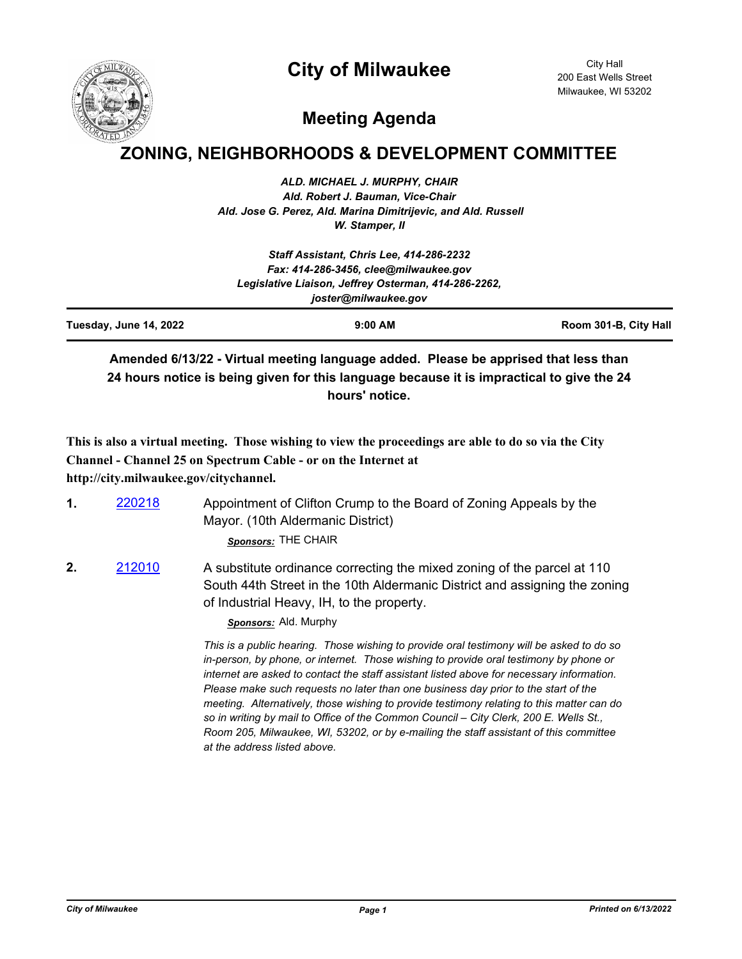# **City of Milwaukee**



City Hall 200 East Wells Street Milwaukee, WI 53202

# **Meeting Agenda**

## **ZONING, NEIGHBORHOODS & DEVELOPMENT COMMITTEE**

*ALD. MICHAEL J. MURPHY, CHAIR Ald. Robert J. Bauman, Vice-Chair Ald. Jose G. Perez, Ald. Marina Dimitrijevic, and Ald. Russell W. Stamper, II*

|                        | Staff Assistant, Chris Lee, 414-286-2232<br>Fax: 414-286-3456, clee@milwaukee.gov |                       |
|------------------------|-----------------------------------------------------------------------------------|-----------------------|
|                        | Legislative Liaison, Jeffrey Osterman, 414-286-2262,<br>joster@milwaukee.gov      |                       |
| Tuesday, June 14, 2022 | $9:00$ AM                                                                         | Room 301-B, City Hall |

**Amended 6/13/22 - Virtual meeting language added. Please be apprised that less than 24 hours notice is being given for this language because it is impractical to give the 24 hours' notice.**

**This is also a virtual meeting. Those wishing to view the proceedings are able to do so via the City Channel - Channel 25 on Spectrum Cable - or on the Internet at http://city.milwaukee.gov/citychannel.**

| 220218 | Appointment of Clifton Crump to the Board of Zoning Appeals by the |
|--------|--------------------------------------------------------------------|
|        | Mayor. (10th Aldermanic District)                                  |
|        | Sponsors: THE CHAIR                                                |

**2.** [212010](http://milwaukee.legistar.com/gateway.aspx?m=l&id=/matter.aspx?key=61941) A substitute ordinance correcting the mixed zoning of the parcel at 110 South 44th Street in the 10th Aldermanic District and assigning the zoning of Industrial Heavy, IH, to the property.

*Sponsors:* Ald. Murphy

*This is a public hearing. Those wishing to provide oral testimony will be asked to do so in-person, by phone, or internet. Those wishing to provide oral testimony by phone or internet are asked to contact the staff assistant listed above for necessary information. Please make such requests no later than one business day prior to the start of the meeting. Alternatively, those wishing to provide testimony relating to this matter can do so in writing by mail to Office of the Common Council – City Clerk, 200 E. Wells St., Room 205, Milwaukee, WI, 53202, or by e-mailing the staff assistant of this committee at the address listed above.*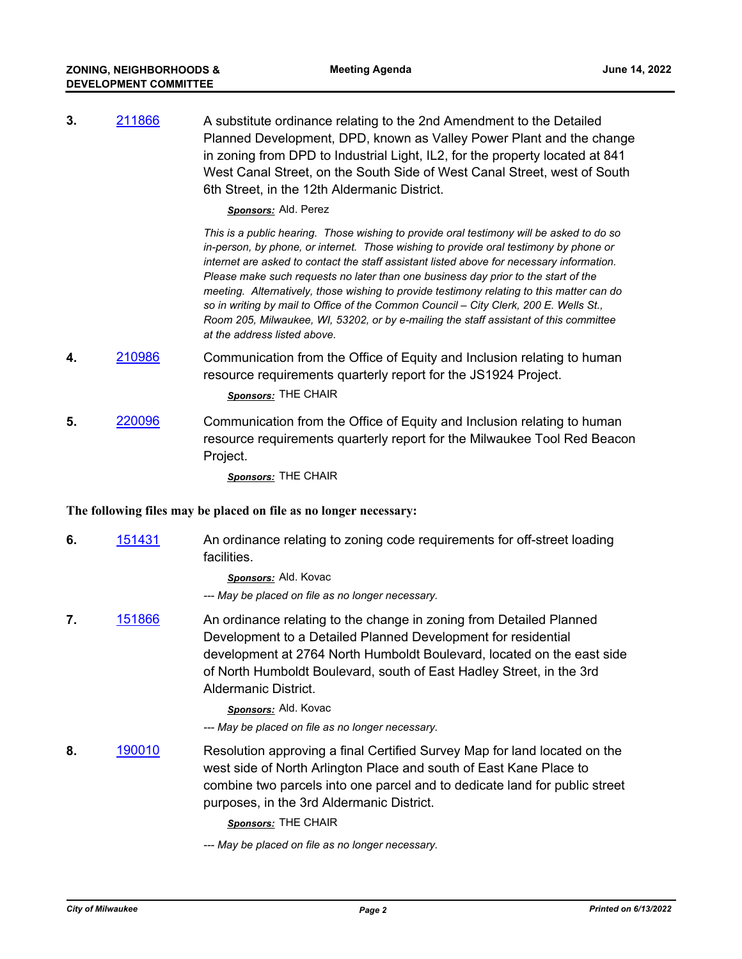**3.** [211866](http://milwaukee.legistar.com/gateway.aspx?m=l&id=/matter.aspx?key=61713) A substitute ordinance relating to the 2nd Amendment to the Detailed Planned Development, DPD, known as Valley Power Plant and the change in zoning from DPD to Industrial Light, IL2, for the property located at 841 West Canal Street, on the South Side of West Canal Street, west of South 6th Street, in the 12th Aldermanic District.

#### *Sponsors:* Ald. Perez

*This is a public hearing. Those wishing to provide oral testimony will be asked to do so in-person, by phone, or internet. Those wishing to provide oral testimony by phone or internet are asked to contact the staff assistant listed above for necessary information. Please make such requests no later than one business day prior to the start of the meeting. Alternatively, those wishing to provide testimony relating to this matter can do so in writing by mail to Office of the Common Council – City Clerk, 200 E. Wells St., Room 205, Milwaukee, WI, 53202, or by e-mailing the staff assistant of this committee at the address listed above.*

- **4.** [210986](http://milwaukee.legistar.com/gateway.aspx?m=l&id=/matter.aspx?key=60398) Communication from the Office of Equity and Inclusion relating to human resource requirements quarterly report for the JS1924 Project. *Sponsors:* THE CHAIR
- **5.** [220096](http://milwaukee.legistar.com/gateway.aspx?m=l&id=/matter.aspx?key=62123) Communication from the Office of Equity and Inclusion relating to human resource requirements quarterly report for the Milwaukee Tool Red Beacon Project.

*Sponsors:* THE CHAIR

## **The following files may be placed on file as no longer necessary:**

**6.** [151431](http://milwaukee.legistar.com/gateway.aspx?m=l&id=/matter.aspx?key=43061) An ordinance relating to zoning code requirements for off-street loading facilities.

*Sponsors:* Ald. Kovac

*--- May be placed on file as no longer necessary.*

**7.** [151866](http://milwaukee.legistar.com/gateway.aspx?m=l&id=/matter.aspx?key=43593) An ordinance relating to the change in zoning from Detailed Planned Development to a Detailed Planned Development for residential development at 2764 North Humboldt Boulevard, located on the east side of North Humboldt Boulevard, south of East Hadley Street, in the 3rd Aldermanic District.

## *Sponsors:* Ald. Kovac

*--- May be placed on file as no longer necessary.*

**8.** [190010](http://milwaukee.legistar.com/gateway.aspx?m=l&id=/matter.aspx?key=51376) Resolution approving a final Certified Survey Map for land located on the west side of North Arlington Place and south of East Kane Place to combine two parcels into one parcel and to dedicate land for public street purposes, in the 3rd Aldermanic District.

*Sponsors:* THE CHAIR

*--- May be placed on file as no longer necessary.*